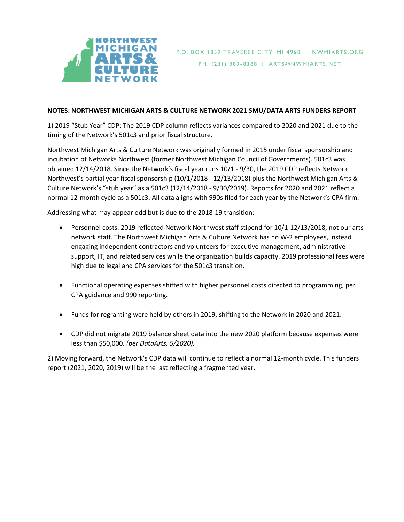

## **NOTES: NORTHWEST MICHIGAN ARTS & CULTURE NETWORK 2021 SMU/DATA ARTS FUNDERS REPORT**

1) 2019 "Stub Year" CDP: The 2019 CDP column reflects variances compared to 2020 and 2021 due to the timing of the Network's 501c3 and prior fiscal structure.

Northwest Michigan Arts & Culture Network was originally formed in 2015 under fiscal sponsorship and incubation of Networks Northwest (former Northwest Michigan Council of Governments). 501c3 was obtained 12/14/2018. Since the Network's fiscal year runs 10/1 - 9/30, the 2019 CDP reflects Network Northwest's partial year fiscal sponsorship (10/1/2018 - 12/13/2018) plus the Northwest Michigan Arts & Culture Network's "stub year" as a 501c3 (12/14/2018 - 9/30/2019). Reports for 2020 and 2021 reflect a normal 12-month cycle as a 501c3. All data aligns with 990s filed for each year by the Network's CPA firm.

Addressing what may appear odd but is due to the 2018-19 transition:

- Personnel costs. 2019 reflected Network Northwest staff stipend for 10/1-12/13/2018, not our arts network staff. The Northwest Michigan Arts & Culture Network has no W-2 employees, instead engaging independent contractors and volunteers for executive management, administrative support, IT, and related services while the organization builds capacity. 2019 professional fees were high due to legal and CPA services for the 501c3 transition.
- Functional operating expenses shifted with higher personnel costs directed to programming, per CPA guidance and 990 reporting.
- Funds for regranting were held by others in 2019, shifting to the Network in 2020 and 2021.
- CDP did not migrate 2019 balance sheet data into the new 2020 platform because expenses were less than \$50,000. *(per DataArts, 5/2020).*

2) Moving forward, the Network's CDP data will continue to reflect a normal 12-month cycle. This funders report (2021, 2020, 2019) will be the last reflecting a fragmented year.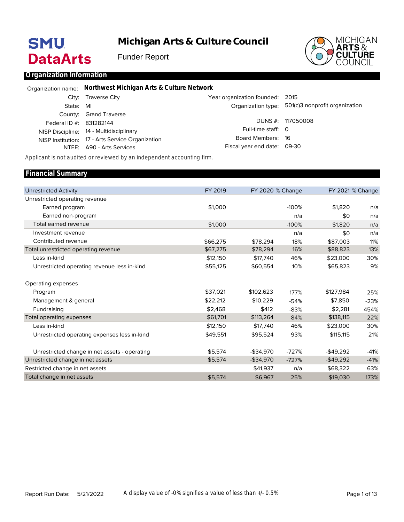# **SMU DataArts**

**Michigan Arts & Culture Council**

Funder Report



### **Organization Information**

|                         | Organization name: Northwest Michigan Arts & Culture Network |                                 |                                                   |
|-------------------------|--------------------------------------------------------------|---------------------------------|---------------------------------------------------|
|                         | City: Traverse City                                          | Year organization founded: 2015 |                                                   |
| State: MI               |                                                              |                                 | Organization type: 501(c)3 nonprofit organization |
|                         | County: Grand Traverse                                       |                                 |                                                   |
| Federal ID #: 831282144 |                                                              |                                 | DUNS #: 117050008                                 |
|                         | NISP Discipline: 14 - Multidisciplinary                      | Full-time staff: 0              |                                                   |
|                         | NISP Institution: 17 - Arts Service Organization             | Board Members: 16               |                                                   |
|                         | NTEE: A90 - Arts Services                                    | Fiscal year end date: 09-30     |                                                   |

*Applicant is not audited or reviewed by an independent accounting firm.*

#### Unrestricted Activity Unrestricted operating revenue Earned program Earned non-program Total earned revenue Investment revenue Contributed revenue Total unrestricted operating revenue Less in-kind Unrestricted operating revenue less in-kind Operating expenses Program Management & general Fundraising Total operating expenses Less in-kind Unrestricted operating expenses less in-kind Unrestricted change in net assets - operating Unrestricted change in net assets Restricted change in net assets Total change in net assets FY 2019 \$1,000 \$1,000 \$66,275 \$67,275 \$12,150 \$55,125 \$37,021 \$22,212 \$2,468 \$61,701 \$12,150 \$49,551 \$5,574 \$5,574 \$5,574 FY 2020 % Change \$78,294 \$78,294 \$17,740 \$60,554 \$102,623 \$10,229 \$412 \$113,264 \$17,740 \$95,524 -\$34,970 -\$34,970 \$41,937 \$6,967 -100% n/a -100% n/a 18% 16% 46% 10% 177% -54% -83% 84% 46% 93% -727% -727% n/a 25% FY 2021 % Change \$1,820 \$0 \$1,820 \$0 \$87,003 \$88,823 \$23,000 \$65,823 \$127,984 \$7,850 \$2,281 \$138,115 \$23,000 \$115,115 -\$49,292 -\$49,292 \$68,322 \$19,030 n/a n/a n/a n/a 11% 13% 30% 9% 25% -23% 454% 22% 30% 21% -41% -41% 63% 173% **Financial Summary**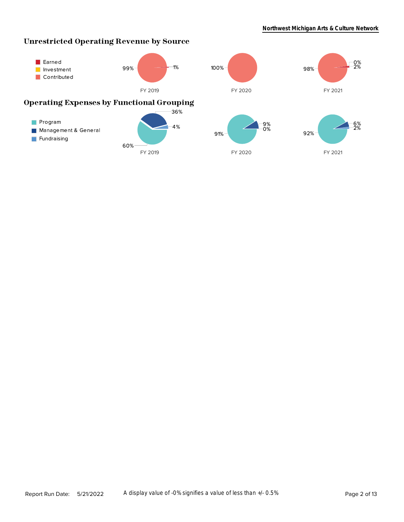# **Unrestricted Operating Revenue by Source**

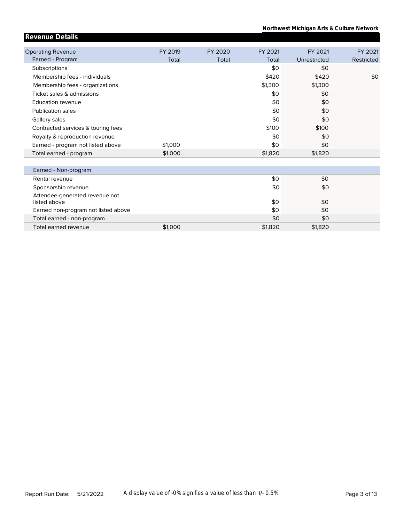**Northwest Michigan Arts & Culture Network**

\$1,820

| <b>Revenue Details</b>              |         |         |         |              |            |
|-------------------------------------|---------|---------|---------|--------------|------------|
| <b>Operating Revenue</b>            | FY 2019 | FY 2020 | FY 2021 | FY 2021      | FY 2021    |
| Earned - Program                    | Total   | Total   | Total   | Unrestricted | Restricted |
| Subscriptions                       |         |         | \$0     | \$0          |            |
| Membership fees - individuals       |         |         | \$420   | \$420        | \$0        |
| Membership fees - organizations     |         |         | \$1,300 | \$1,300      |            |
| Ticket sales & admissions           |         |         | \$0     | \$0          |            |
| <b>Education revenue</b>            |         |         | \$0     | \$0          |            |
| <b>Publication sales</b>            |         |         | \$0     | \$0          |            |
| Gallery sales                       |         |         | \$0     | \$0          |            |
| Contracted services & touring fees  |         |         | \$100   | \$100        |            |
| Royalty & reproduction revenue      |         |         | \$0     | \$0          |            |
| Earned - program not listed above   | \$1,000 |         | \$0     | \$0          |            |
| Total earned - program              | \$1,000 |         | \$1,820 | \$1,820      |            |
|                                     |         |         |         |              |            |
| Earned - Non-program                |         |         |         |              |            |
| Rental revenue                      |         |         | \$0     | \$0          |            |
| Sponsorship revenue                 |         |         | \$0     | \$0          |            |
| Attendee-generated revenue not      |         |         |         |              |            |
| listed above                        |         |         | \$0     | \$0          |            |
| Earned non-program not listed above |         |         | \$0     | \$0          |            |
| Total earned - non-program          |         |         | \$0     | \$0          |            |

\$1,820

\$1,000

Total earned revenue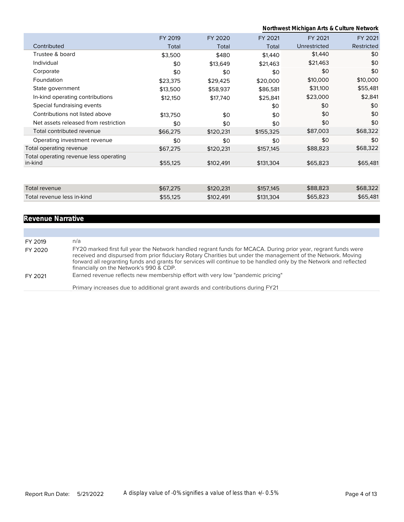|                                                   |          |           | Northwest Michigan Arts & Culture Network |              |            |  |  |
|---------------------------------------------------|----------|-----------|-------------------------------------------|--------------|------------|--|--|
|                                                   | FY 2019  | FY 2020   | FY 2021                                   | FY 2021      | FY 2021    |  |  |
| Contributed                                       | Total    | Total     | Total                                     | Unrestricted | Restricted |  |  |
| Trustee & board                                   | \$3,500  | \$480     | \$1,440                                   | \$1,440      | \$0        |  |  |
| Individual                                        | \$0      | \$13,649  | \$21,463                                  | \$21,463     | \$0        |  |  |
| Corporate                                         | \$0      | \$0       | \$0                                       | \$0          | \$0        |  |  |
| Foundation                                        | \$23,375 | \$29,425  | \$20,000                                  | \$10,000     | \$10,000   |  |  |
| State government                                  | \$13,500 | \$58,937  | \$86,581                                  | \$31,100     | \$55,481   |  |  |
| In-kind operating contributions                   | \$12,150 | \$17,740  | \$25,841                                  | \$23,000     | \$2,841    |  |  |
| Special fundraising events                        |          |           | \$0                                       | \$0          | \$0        |  |  |
| Contributions not listed above                    | \$13,750 | \$0       | \$0                                       | \$0          | \$0        |  |  |
| Net assets released from restriction              | \$0      | \$0       | \$0                                       | \$0          | \$0        |  |  |
| Total contributed revenue                         | \$66,275 | \$120,231 | \$155,325                                 | \$87,003     | \$68,322   |  |  |
| Operating investment revenue                      | \$0      | \$0       | \$0                                       | \$0          | \$0        |  |  |
| Total operating revenue                           | \$67,275 | \$120,231 | \$157,145                                 | \$88,823     | \$68,322   |  |  |
| Total operating revenue less operating<br>in-kind | \$55,125 | \$102,491 | \$131,304                                 | \$65,823     | \$65,481   |  |  |
|                                                   |          |           |                                           |              |            |  |  |
| <b>Total revenue</b>                              | \$67,275 | \$120,231 | \$157,145                                 | \$88,823     | \$68,322   |  |  |
| Total revenue less in-kind                        | \$55,125 | \$102,491 | \$131,304                                 | \$65,823     | \$65,481   |  |  |

# **Revenue Narrative**

| FY 2019 | n/a                                                                                                                                                                                                                                                                                                                                                                                             |
|---------|-------------------------------------------------------------------------------------------------------------------------------------------------------------------------------------------------------------------------------------------------------------------------------------------------------------------------------------------------------------------------------------------------|
| FY 2020 | FY20 marked first full year the Network handled regrant funds for MCACA. During prior year, regrant funds were<br>received and dispursed from prior fiduciary Rotary Charities but under the management of the Network. Moving<br>forward all regranting funds and grants for services will continue to be handled only by the Network and reflected<br>financially on the Network's 990 & CDP. |
| FY 2021 | Earned revenue reflects new membership effort with very low "pandemic pricing"                                                                                                                                                                                                                                                                                                                  |
|         | Primary increases due to additional grant awards and contributions during FY21                                                                                                                                                                                                                                                                                                                  |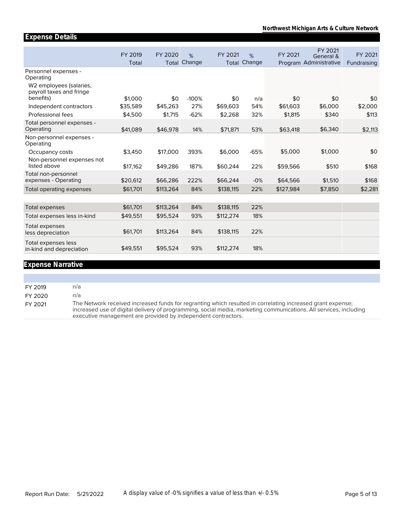|                                                                              | FY 2019  | FY 2020   | %       | FY 2021   | %      | FY 2021   | FY 2021<br>General &   | FY 2021     |
|------------------------------------------------------------------------------|----------|-----------|---------|-----------|--------|-----------|------------------------|-------------|
|                                                                              | Total    | Total     | Change  | Total     | Change |           | Program Administrative | Fundraising |
| Personnel expenses -<br>Operating                                            |          |           |         |           |        |           |                        |             |
| W <sub>2</sub> employees (salaries,<br>payroll taxes and fringe<br>benefits) | \$1.000  | \$0       | $-100%$ | \$0       | n/a    | \$0       | \$0                    | \$0         |
|                                                                              |          |           |         |           |        |           |                        |             |
| Independent contractors                                                      | \$35,589 | \$45,263  | 27%     | \$69,603  | 54%    | \$61,603  | \$6,000                | \$2,000     |
| Professional fees                                                            | \$4,500  | \$1,715   | $-62%$  | \$2,268   | 32%    | \$1,815   | \$340                  | \$113       |
| Total personnel expenses -<br>Operating                                      | \$41,089 | \$46,978  | 14%     | \$71,871  | 53%    | \$63,418  | \$6,340                | \$2,113     |
| Non-personnel expenses -<br>Operating                                        |          |           |         |           |        |           |                        |             |
| Occupancy costs<br>Non-personnel expenses not                                | \$3,450  | \$17,000  | 393%    | \$6,000   | $-65%$ | \$5,000   | \$1,000                | \$0         |
| listed above                                                                 | \$17,162 | \$49,286  | 187%    | \$60,244  | 22%    | \$59,566  | \$510                  | \$168       |
| Total non-personnel                                                          |          |           |         |           |        |           |                        |             |
| expenses - Operating                                                         | \$20,612 | \$66,286  | 222%    | \$66,244  | $-0%$  | \$64,566  | \$1,510                | \$168       |
| Total operating expenses                                                     | \$61,701 | \$113,264 | 84%     | \$138,115 | 22%    | \$127,984 | \$7,850                | \$2,281     |
|                                                                              |          |           |         |           |        |           |                        |             |
| Total expenses                                                               | \$61,701 | \$113,264 | 84%     | \$138,115 | 22%    |           |                        |             |
| Total expenses less in-kind                                                  | \$49,551 | \$95,524  | 93%     | \$112,274 | 18%    |           |                        |             |
| <b>Total expenses</b><br>less depreciation                                   | \$61,701 | \$113,264 | 84%     | \$138,115 | 22%    |           |                        |             |
| Total expenses less<br>in-kind and depreciation                              | \$49,551 | \$95.524  | 93%     | \$112,274 | 18%    |           |                        |             |
|                                                                              |          |           |         |           |        |           |                        |             |

# **Expense Narrative**

**Expense Details**

FY 2019 n/a FY 2020 n/a FY 2021 The Network received increased funds for regranting which resulted in correlating increased grant expense; increased use of digital delivery of programming, social media, marketing communications. All services, including executive management are provided by independent contractors.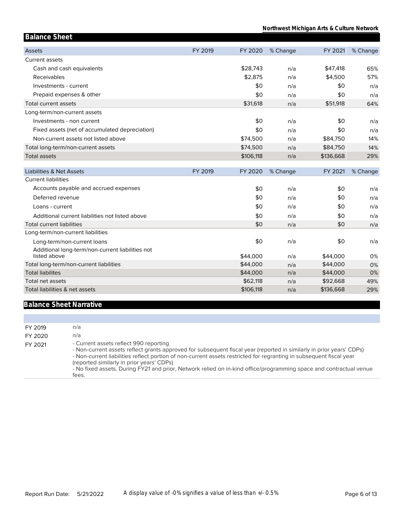| <b>Balance Sheet</b>                                      |         |                       |            |                       |            |
|-----------------------------------------------------------|---------|-----------------------|------------|-----------------------|------------|
| <b>Assets</b>                                             | FY 2019 | FY 2020               | % Change   | FY 2021               | % Change   |
| Current assets                                            |         |                       |            |                       |            |
| Cash and cash equivalents                                 |         | \$28,743              | n/a        | \$47,418              | 65%        |
| Receivables                                               |         | \$2,875               | n/a        | \$4,500               | 57%        |
| Investments - current                                     |         | \$0                   | n/a        | \$0                   | n/a        |
| Prepaid expenses & other                                  |         | \$0                   | n/a        | \$0                   | n/a        |
| Total current assets                                      |         | \$31,618              | n/a        | \$51,918              | 64%        |
| Long-term/non-current assets                              |         |                       |            |                       |            |
| Investments - non current                                 |         | \$0                   | n/a        | \$0                   | n/a        |
| Fixed assets (net of accumulated depreciation)            |         | \$0                   | n/a        | \$0                   | n/a        |
| Non-current assets not listed above                       |         | \$74,500              | n/a        | \$84,750              | 14%        |
| Total long-term/non-current assets                        |         | \$74,500              | n/a        | \$84,750              | 14%        |
| <b>Total assets</b>                                       |         | \$106,118             | n/a        | \$136,668             | 29%        |
|                                                           |         |                       |            |                       |            |
| <b>Liabilities &amp; Net Assets</b>                       | FY 2019 |                       |            |                       |            |
| <b>Current liabilities</b>                                |         | FY 2020               | % Change   | FY 2021               | % Change   |
| Accounts payable and accrued expenses                     |         | \$0                   | n/a        | \$0                   | n/a        |
| Deferred revenue                                          |         | \$0                   | n/a        | \$0                   | n/a        |
| Loans - current                                           |         | \$0                   | n/a        | \$0                   | n/a        |
| Additional current liabilities not listed above           |         | \$0                   | n/a        | \$0                   | n/a        |
| <b>Total current liabilities</b>                          |         | \$0                   | n/a        | \$0                   | n/a        |
| Long-term/non-current liabilities                         |         |                       |            |                       |            |
| Long-term/non-current loans                               |         | \$0                   | n/a        | \$0                   | n/a        |
| Additional long-term/non-current liabilities not          |         |                       |            |                       |            |
| listed above                                              |         | \$44,000              | n/a        | \$44,000              | 0%         |
| Total long-term/non-current liabilities                   |         | \$44,000              | n/a        | \$44,000              | 0%         |
| <b>Total liabilites</b>                                   |         | \$44,000              | n/a        | \$44,000              | 0%         |
| <b>Total net assets</b><br>Total liabilities & net assets |         | \$62,118<br>\$106,118 | n/a<br>n/a | \$92,668<br>\$136,668 | 49%<br>29% |

# **Balance Sheet Narrative**

| FY 2019 | n/a                                                                                                                                                                                                                                                                                                                                                                                                                                                               |
|---------|-------------------------------------------------------------------------------------------------------------------------------------------------------------------------------------------------------------------------------------------------------------------------------------------------------------------------------------------------------------------------------------------------------------------------------------------------------------------|
| FY 2020 | n/a                                                                                                                                                                                                                                                                                                                                                                                                                                                               |
| FY 2021 | - Current assets reflect 990 reporting<br>- Non-current assets reflect grants approved for subsequent fiscal year (reported in similarly in prior years' CDPs)<br>- Non-current liabilities reflect portion of non-current assets restricted for regranting in subsequent fiscal year<br>(reported similarly in prior years' CDPs)<br>- No fixed assets. During FY21 and prior, Network relied on in-kind office/programming space and contractual venue<br>fees. |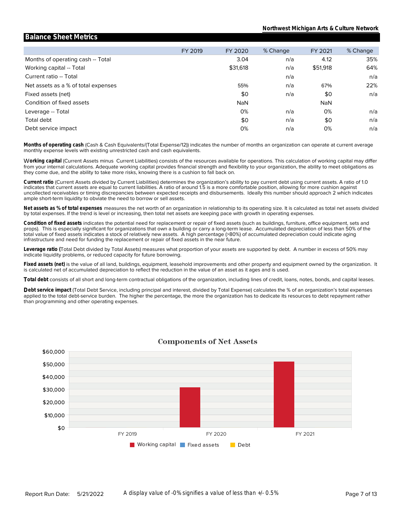#### **Balance Sheet Metrics**

|                                     | FY 2019 | FY 2020    | % Change | FY 2021    | % Change |
|-------------------------------------|---------|------------|----------|------------|----------|
| Months of operating cash -- Total   |         | 3.04       | n/a      | 4.12       | 35%      |
| Working capital -- Total            |         | \$31,618   | n/a      | \$51,918   | 64%      |
| Current ratio -- Total              |         |            | n/a      |            | n/a      |
| Net assets as a % of total expenses |         | 55%        | n/a      | 67%        | 22%      |
| Fixed assets (net)                  |         | \$0        | n/a      | \$0        | n/a      |
| Condition of fixed assets           |         | <b>NaN</b> |          | <b>NaN</b> |          |
| Leverage -- Total                   |         | 0%         | n/a      | 0%         | n/a      |
| Total debt                          |         | \$0        | n/a      | \$0        | n/a      |
| Debt service impact                 |         | 0%         | n/a      | 0%         | n/a      |

monthly expense levels with existing unrestricted cash and cash equivalents. **Months of operating cash** (Cash & Cash Equivalents/(Total Expense/12)) indicates the number of months an organization can operate at current average

they come due, and the ability to take more risks, knowing there is a cushion to fall back on. from your internal calculations. Adequate working capital provides financial strength and flexibility to your organization, the ability to meet obligations as W**orking capital** (Current Assets minus Current Liabilities) consists of the resources available for operations. This calculation of working capital may differ

ample short-term liquidity to obviate the need to borrow or sell assets. uncollected receivables or timing discrepancies between expected receipts and disbursements. Ideally this number should approach 2 which indicates indicates that current assets are equal to current liabilities. A ratio of around 1.5 is a more comfortable position, allowing for more cushion against **Current ratio** (Current Assets divided by Current Liabilities) determines the organization's ability to pay current debt using current assets. A ratio of 1.0

by total expenses. If the trend is level or increasing, then total net assets are keeping pace with growth in operating expenses. **Net assets as % of total expenses** measures the net worth of an organization in relationship to its operating size. It is calculated as total net assets divided

infrastructure and need for funding the replacement or repair of fixed assets in the near future. total value of fixed assets indicates a stock of relatively new assets. A high percentage (>80%) of accumulated depreciation could indicate aging props). This is especially significant for organizations that own a building or carry a long-term lease. Accumulated depreciation of less than 50% of the **Condition of fixed assets** indicates the potential need for replacement or repair of fixed assets (such as buildings, furniture, office equipment, sets and

indicate liquidity problems, or reduced capacity for future borrowing. **Leverage ratio (**Total Debt divided by Total Assets) measures what proportion of your assets are supported by debt. A number in excess of 50% may

is calculated net of accumulated depreciation to reflect the reduction in the value of an asset as it ages and is used. **Fixed assets (net)** is the value of all land, buildings, equipment, leasehold improvements and other property and equipment owned by the organization. It

**Total debt** consists of all short and long-term contractual obligations of the organization, including lines of credit, loans, notes, bonds, and capital leases.

than programming and other operating expenses. applied to the total debt-service burden. The higher the percentage, the more the organization has to dedicate its resources to debt repayment rather **Debt service impact** (Total Debt Service, including principal and interest, divided by Total Expense) calculates the % of an organization's total expenses



#### **Components of Net Assets**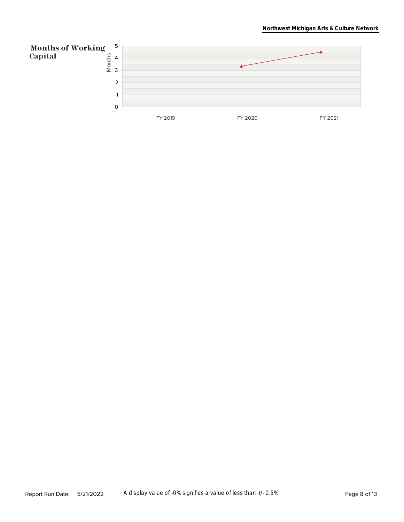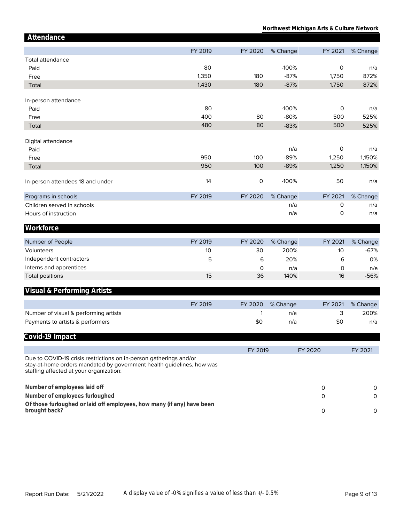**Northwest Michigan Arts & Culture Network**

| Attendance                                                                                                                                                                             |         |                     |          |              |          |
|----------------------------------------------------------------------------------------------------------------------------------------------------------------------------------------|---------|---------------------|----------|--------------|----------|
|                                                                                                                                                                                        | FY 2019 | FY 2020             | % Change | FY 2021      | % Change |
| Total attendance                                                                                                                                                                       |         |                     |          |              |          |
| Paid                                                                                                                                                                                   | 80      |                     | $-100%$  | 0            | n/a      |
| Free                                                                                                                                                                                   | 1,350   | 180                 | $-87%$   | 1,750        | 872%     |
| Total                                                                                                                                                                                  | 1,430   | 180                 | $-87%$   | 1,750        | 872%     |
|                                                                                                                                                                                        |         |                     |          |              |          |
| In-person attendance                                                                                                                                                                   |         |                     |          |              |          |
| Paid                                                                                                                                                                                   | 80      |                     | $-100%$  | $\mathsf{O}$ | n/a      |
| Free                                                                                                                                                                                   | 400     | 80                  | $-80%$   | 500          | 525%     |
| Total                                                                                                                                                                                  | 480     | 80                  | $-83%$   | 500          | 525%     |
| Digital attendance                                                                                                                                                                     |         |                     |          |              |          |
| Paid                                                                                                                                                                                   |         |                     | n/a      | 0            | n/a      |
| Free                                                                                                                                                                                   | 950     | 100                 | $-89%$   | 1,250        | 1,150%   |
| Total                                                                                                                                                                                  | 950     | 100                 | $-89%$   | 1,250        | 1,150%   |
| In-person attendees 18 and under                                                                                                                                                       | 14      | $\mathsf{O}\xspace$ | $-100%$  | 50           | n/a      |
| Programs in schools                                                                                                                                                                    | FY 2019 | FY 2020             | % Change | FY 2021      | % Change |
| Children served in schools                                                                                                                                                             |         |                     | n/a      | 0            | n/a      |
| Hours of instruction                                                                                                                                                                   |         |                     | n/a      | 0            | n/a      |
| Workforce                                                                                                                                                                              |         |                     |          |              |          |
|                                                                                                                                                                                        |         |                     |          |              |          |
| Number of People                                                                                                                                                                       | FY 2019 | FY 2020             | % Change | FY 2021      | % Change |
| Volunteers                                                                                                                                                                             | 10      | 30                  | 200%     | 10           | $-67%$   |
| Independent contractors                                                                                                                                                                | 5       | 6                   | 20%      | 6            | 0%       |
| Interns and apprentices                                                                                                                                                                |         | 0                   | n/a      | 0            | n/a      |
| <b>Total positions</b>                                                                                                                                                                 | 15      | 36                  | 140%     | 16           | $-56%$   |
| Visual & Performing Artists                                                                                                                                                            |         |                     |          |              |          |
|                                                                                                                                                                                        |         |                     |          |              |          |
|                                                                                                                                                                                        | FY 2019 | FY 2020             | % Change | FY 2021      | % Change |
| Number of visual & performing artists                                                                                                                                                  |         | 1                   | n/a      | 3            | 200%     |
| Payments to artists & performers                                                                                                                                                       |         | \$0                 | n/a      | \$0          | n/a      |
| Covid-19 Impact                                                                                                                                                                        |         |                     |          |              |          |
|                                                                                                                                                                                        |         | FY 2019             |          | FY 2020      | FY 2021  |
| Due to COVID-19 crisis restrictions on in-person gatherings and/or<br>stay-at-home orders mandated by government health guidelines, how was<br>staffing affected at your organization: |         |                     |          |              |          |
| Number of employees laid off                                                                                                                                                           |         |                     |          | 0            | O        |
| Number of employees furloughed                                                                                                                                                         |         |                     |          | 0            | 0        |
| Of those furloughed or laid off employees, how many (if any) have been                                                                                                                 |         |                     |          |              |          |
| brought back?                                                                                                                                                                          |         |                     |          | 0            | $\circ$  |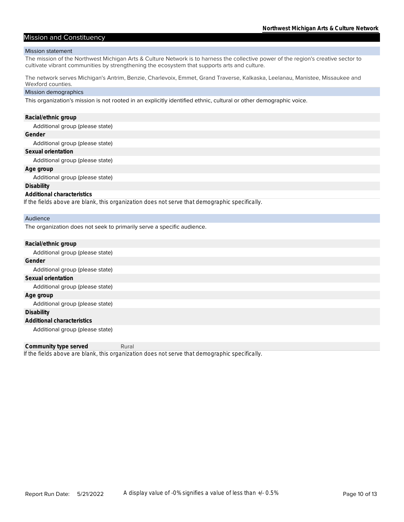#### Mission and Constituency

#### Mission statement

The mission of the Northwest Michigan Arts & Culture Network is to harness the collective power of the region's creative sector to cultivate vibrant communities by strengthening the ecosystem that supports arts and culture.

The network serves Michigan's Antrim, Benzie, Charlevoix, Emmet, Grand Traverse, Kalkaska, Leelanau, Manistee, Missaukee and Wexford counties.

#### Mission demographics

This organization's mission is not rooted in an explicitly identified ethnic, cultural or other demographic voice.

#### **Racial/ethnic group**

Additional group (please state)

#### **Gender**

Additional group (please state)

**Sexual orientation**

Additional group (please state)

**Age group**

Additional group (please state)

#### **Disability**

**Additional characteristics**

*If the fields above are blank, this organization does not serve that demographic specifically.*

#### Audience

The organization does not seek to primarily serve a specific audience.

| Racial/ethnic group             |
|---------------------------------|
| Additional group (please state) |
| Gender                          |
| Additional group (please state) |
| Sexual orientation              |
| Additional group (please state) |
| Age group                       |
| Additional group (please state) |
| Disability                      |
| Additional characteristics      |
| Additional group (please state) |

*If the fields above are blank, this organization does not serve that demographic specifically.* **Community type served** Rural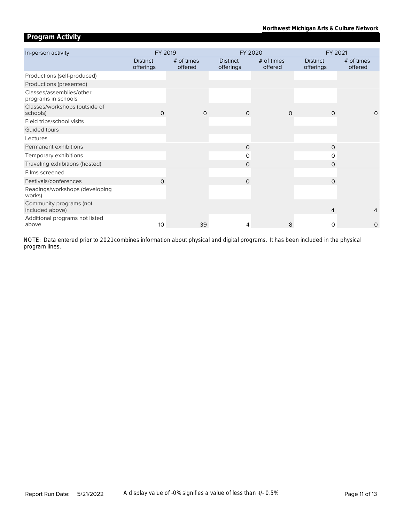# **Program Activity**

| In-person activity                              | FY 2019                      |                       |                              | FY 2020               | FY 2021                      |                       |  |
|-------------------------------------------------|------------------------------|-----------------------|------------------------------|-----------------------|------------------------------|-----------------------|--|
|                                                 | <b>Distinct</b><br>offerings | # of times<br>offered | <b>Distinct</b><br>offerings | # of times<br>offered | <b>Distinct</b><br>offerings | # of times<br>offered |  |
| Productions (self-produced)                     |                              |                       |                              |                       |                              |                       |  |
| Productions (presented)                         |                              |                       |                              |                       |                              |                       |  |
| Classes/assemblies/other<br>programs in schools |                              |                       |                              |                       |                              |                       |  |
| Classes/workshops (outside of<br>schools)       | $\Omega$                     | $\Omega$              | $\Omega$                     | $\Omega$              | $\Omega$                     | $\Omega$              |  |
| Field trips/school visits                       |                              |                       |                              |                       |                              |                       |  |
| Guided tours                                    |                              |                       |                              |                       |                              |                       |  |
| Lectures                                        |                              |                       |                              |                       |                              |                       |  |
| Permanent exhibitions                           |                              |                       | $\Omega$                     |                       | $\Omega$                     |                       |  |
| Temporary exhibitions                           |                              |                       | 0                            |                       | 0                            |                       |  |
| Traveling exhibitions (hosted)                  |                              |                       | $\Omega$                     |                       | $\Omega$                     |                       |  |
| Films screened                                  |                              |                       |                              |                       |                              |                       |  |
| Festivals/conferences                           | $\Omega$                     |                       | $\Omega$                     |                       | $\Omega$                     |                       |  |
| Readings/workshops (developing<br>works)        |                              |                       |                              |                       |                              |                       |  |
| Community programs (not<br>included above)      |                              |                       |                              |                       | 4                            | 4                     |  |
| Additional programs not listed<br>above         | 10                           | 39                    | 4                            | 8                     | $\Omega$                     | 0                     |  |

*program lines. NOTE: Data entered prior to 2021 combines information about physical and digital programs. It has been included in the physical*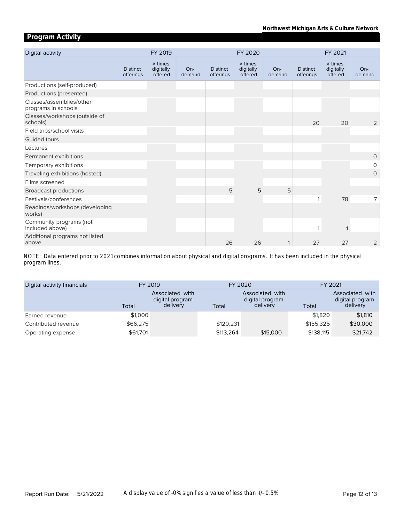# **Program Activity**

| Digital activity                                |                              | FY 2019                         |                 |                              | FY 2020                         |                 |                              | FY 2021                         |                 |
|-------------------------------------------------|------------------------------|---------------------------------|-----------------|------------------------------|---------------------------------|-----------------|------------------------------|---------------------------------|-----------------|
|                                                 | <b>Distinct</b><br>offerings | # times<br>digitally<br>offered | $On-$<br>demand | <b>Distinct</b><br>offerings | # times<br>digitally<br>offered | $On-$<br>demand | <b>Distinct</b><br>offerings | # times<br>digitally<br>offered | $On-$<br>demand |
| Productions (self-produced)                     |                              |                                 |                 |                              |                                 |                 |                              |                                 |                 |
| Productions (presented)                         |                              |                                 |                 |                              |                                 |                 |                              |                                 |                 |
| Classes/assemblies/other<br>programs in schools |                              |                                 |                 |                              |                                 |                 |                              |                                 |                 |
| Classes/workshops (outside of<br>schools)       |                              |                                 |                 |                              |                                 |                 | 20                           | 20                              | 2               |
| Field trips/school visits                       |                              |                                 |                 |                              |                                 |                 |                              |                                 |                 |
| Guided tours                                    |                              |                                 |                 |                              |                                 |                 |                              |                                 |                 |
| Lectures                                        |                              |                                 |                 |                              |                                 |                 |                              |                                 |                 |
| Permanent exhibitions                           |                              |                                 |                 |                              |                                 |                 |                              |                                 | $\circ$         |
| Temporary exhibitions                           |                              |                                 |                 |                              |                                 |                 |                              |                                 | $\circ$         |
| Traveling exhibitions (hosted)                  |                              |                                 |                 |                              |                                 |                 |                              |                                 | $\circ$         |
| Films screened                                  |                              |                                 |                 |                              |                                 |                 |                              |                                 |                 |
| <b>Broadcast productions</b>                    |                              |                                 |                 | 5                            | 5                               | 5               |                              |                                 |                 |
| Festivals/conferences                           |                              |                                 |                 |                              |                                 |                 | $\mathbf{1}$                 | 78                              | 7               |
| Readings/workshops (developing<br>works)        |                              |                                 |                 |                              |                                 |                 |                              |                                 |                 |
| Community programs (not<br>included above)      |                              |                                 |                 |                              |                                 |                 | 1                            |                                 |                 |
| Additional programs not listed<br>above         |                              |                                 |                 | 26                           | 26                              | 1               | 27                           | 27                              | $\overline{2}$  |

*program lines. NOTE: Data entered prior to 2021 combines information about physical and digital programs. It has been included in the physical* 

| Digital activity financials | FY 2019  |                                                | FY 2020   |                                                | FY 2021   |                                                |  |
|-----------------------------|----------|------------------------------------------------|-----------|------------------------------------------------|-----------|------------------------------------------------|--|
|                             | Total    | Associated with<br>digital program<br>delivery | Total     | Associated with<br>digital program<br>delivery | Total     | Associated with<br>digital program<br>delivery |  |
| Earned revenue              | \$1,000  |                                                |           |                                                | \$1,820   | \$1,810                                        |  |
| Contributed revenue         | \$66,275 |                                                | \$120.231 |                                                | \$155,325 | \$30,000                                       |  |
| Operating expense           | \$61,701 |                                                | \$113,264 | \$15,000                                       | \$138.115 | \$21,742                                       |  |